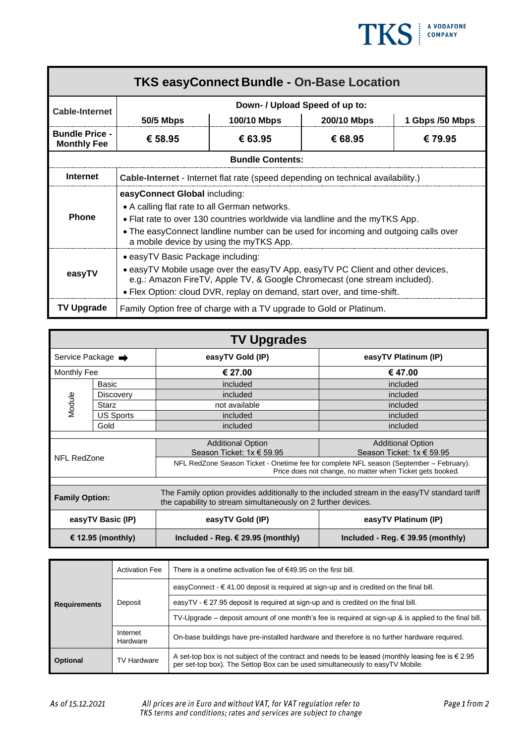

| <b>TKS easyConnect Bundle - On-Base Location</b> |                                                                                                                                                                                                                                                                                                |             |             |                 |  |  |
|--------------------------------------------------|------------------------------------------------------------------------------------------------------------------------------------------------------------------------------------------------------------------------------------------------------------------------------------------------|-------------|-------------|-----------------|--|--|
| <b>Cable-Internet</b>                            | Down- / Upload Speed of up to:                                                                                                                                                                                                                                                                 |             |             |                 |  |  |
|                                                  | <b>50/5 Mbps</b>                                                                                                                                                                                                                                                                               | 100/10 Mbps | 200/10 Mbps | 1 Gbps /50 Mbps |  |  |
| <b>Bundle Price -</b><br><b>Monthly Fee</b>      | € 58.95                                                                                                                                                                                                                                                                                        | € 63.95     | € 68.95     | € 79.95         |  |  |
| <b>Bundle Contents:</b>                          |                                                                                                                                                                                                                                                                                                |             |             |                 |  |  |
| <b>Internet</b>                                  | Cable-Internet - Internet flat rate (speed depending on technical availability.)                                                                                                                                                                                                               |             |             |                 |  |  |
| <b>Phone</b>                                     | easyConnect Global including:<br>• A calling flat rate to all German networks.<br>• Flat rate to over 130 countries worldwide via landline and the myTKS App.<br>• The easyConnect landline number can be used for incoming and outgoing calls over<br>a mobile device by using the myTKS App. |             |             |                 |  |  |
| easyTV                                           | • easyTV Basic Package including:<br>• easyTV Mobile usage over the easyTV App, easyTV PC Client and other devices,<br>e.g.: Amazon FireTV, Apple TV, & Google Chromecast (one stream included).<br>• Flex Option: cloud DVR, replay on demand, start over, and time-shift.                    |             |             |                 |  |  |
| <b>TV Upgrade</b>                                | Family Option free of charge with a TV upgrade to Gold or Platinum.                                                                                                                                                                                                                            |             |             |                 |  |  |

| <b>TV Upgrades</b>            |                  |                                                                                                                                                               |                                            |  |  |
|-------------------------------|------------------|---------------------------------------------------------------------------------------------------------------------------------------------------------------|--------------------------------------------|--|--|
| Service Package $\rightarrow$ |                  | easyTV Gold (IP)                                                                                                                                              | easyTV Platinum (IP)                       |  |  |
| Monthly Fee                   |                  | € 27.00                                                                                                                                                       | € 47.00                                    |  |  |
| Module                        | Basic            | included                                                                                                                                                      | included                                   |  |  |
|                               | <b>Discovery</b> | included                                                                                                                                                      | included                                   |  |  |
|                               | Starz            | not available                                                                                                                                                 | included                                   |  |  |
|                               | <b>US Sports</b> | included                                                                                                                                                      | included                                   |  |  |
|                               | Gold             | included                                                                                                                                                      | included                                   |  |  |
|                               |                  |                                                                                                                                                               |                                            |  |  |
|                               |                  | <b>Additional Option</b>                                                                                                                                      | <b>Additional Option</b>                   |  |  |
| NFL RedZone                   |                  | Season Ticket: 1x € 59.95                                                                                                                                     | Season Ticket: 1x € 59.95                  |  |  |
|                               |                  | NFL RedZone Season Ticket - Onetime fee for complete NFL season (September – February).<br>Price does not change, no matter when Ticket gets booked.          |                                            |  |  |
|                               |                  |                                                                                                                                                               |                                            |  |  |
| <b>Family Option:</b>         |                  | The Family option provides additionally to the included stream in the easyTV standard tariff<br>the capability to stream simultaneously on 2 further devices. |                                            |  |  |
| easyTV Basic (IP)             |                  | easyTV Gold (IP)                                                                                                                                              | easyTV Platinum (IP)                       |  |  |
| € 12.95 (monthly)             |                  | Included - Reg. $\epsilon$ 29.95 (monthly)                                                                                                                    | Included - Reg. $\epsilon$ 39.95 (monthly) |  |  |

| <b>Requirements</b> | <b>Activation Fee</b> | There is a onetime activation fee of $\epsilon$ 49.95 on the first bill.                                                                                                                     |  |
|---------------------|-----------------------|----------------------------------------------------------------------------------------------------------------------------------------------------------------------------------------------|--|
|                     | Deposit               | easyConnect - $\epsilon$ 41.00 deposit is required at sign-up and is credited on the final bill.                                                                                             |  |
|                     |                       | easyTV - $\in$ 27.95 deposit is required at sign-up and is credited on the final bill.                                                                                                       |  |
|                     |                       | TV-Upgrade – deposit amount of one month's fee is required at sign-up & is applied to the final bill.                                                                                        |  |
|                     | Internet<br>Hardware  | On-base buildings have pre-installed hardware and therefore is no further hardware required.                                                                                                 |  |
| <b>Optional</b>     | <b>TV Hardware</b>    | A set-top box is not subject of the contract and needs to be leased (monthly leasing fee is $\epsilon$ 2.95<br>per set-top box). The Settop Box can be used simultaneously to easyTV Mobile. |  |